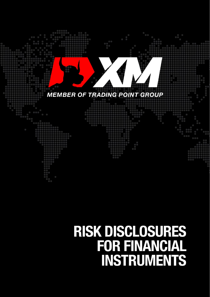

# **RISK DISCLOSURES<br>FOR FINANCIAL** INSTRUMENTS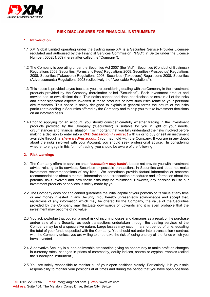

# **RISK DISCLOSURES FOR FINANCIAL INSTRUMENTS**

#### **1. Introduction**

- 1.1 XM Global Limited operating under the trading name XM is a Securities Service Provider Licensee regulated and authorised by the Financial Services Commission ("FSC") in Belize under the Licence Number: 000261/309 (hereinafter called the "Company").
- 1.2 The Company is operating under the Securities Act 2007 (the "Act"), [Securities \(Conduct of Business\)](http://www.fsaseychelles.sc/images/files/Securities(Conduct%20of%20Business)%20Reglations%202008).pdf)  [Regulations 2008,](http://www.fsaseychelles.sc/images/files/Securities(Conduct%20of%20Business)%20Reglations%202008).pdf) [Securities \(Forms and Fees\) Regulations 2008,](http://www.fsaseychelles.sc/images/files/Securities%20(Forms%20and%20Fees)%20Regulations,%202008.pdf) [Securities \(Prospectus\) Regulations](http://www.fsaseychelles.sc/images/files/Securities%20(Prospectus)%20Regulations,%202008.pdf)  [2008,](http://www.fsaseychelles.sc/images/files/Securities%20(Prospectus)%20Regulations,%202008.pdf) [Securities \(Takeovers\) Regulations 2008, Securities \(Takeovers\) Regulations 2008,](http://www.fsaseychelles.sc/images/files/Securities%20(Takeovers)%20Regulations,%202008.pdf) [Securities](http://www.fsaseychelles.sc/images/files/Securities%20(Advertisements)%20Regulations,%202008.pdf)  [\(Advertisements\) Regulations 2008](http://www.fsaseychelles.sc/images/files/Securities%20(Advertisements)%20Regulations,%202008.pdf) (collectively the "Applicable Regulations").
- 1.3 This notice is provided to you because you are considering dealing with the Company in the investment products provided by the Company (hereinafter called "Securities"). Each investment product and service has its own distinct risks. This notice cannot and does not disclose or explain all of the risks and other significant aspects involved in these products or how such risks relate to your personal circumstances. This notice is solely designed to explain in general terms the nature of the risks particular to dealing in Securities offered by the Company and to help you to take investment decisions on an informed basis.
- 1.4 Prior to applying for an account, you should consider carefully whether trading in the investment products provided by the Company ("Securities") is suitable for you in light of your needs, circumstances and financial situation. It is important that you fully understand the risks involved before making a decision to enter into a *CFD transaction / contract* with us or to buy or sell an instrument available through a *share trading account* you may hold with the Company. If you are in any doubt about the risks involved with your Account, you should seek professional advice. In considering whether to engage in this form of trading, you should be aware of the following:

#### **2. Risk warnings**

- 2.1 The Company offers its services on an **'***execution-only basis'*. It does not provide you with investment advice relating to its services, Securities or possible transactions in Securities and does not make investment recommendations of any kind. We sometimes provide factual information or research recommendations about a market, information about transaction procedures and information about the potential risks involved and how those risks may be minimised. However, any decision to use our investment products or services is solely made by you.
- 2.2 The Company does not and cannot guarantee the initial capital of your portfolio or its value at any time or any money invested in any Security. You hereby unreservedly acknowledge and accept that, regardless of any information which may be offered by the Company, the value of the Securities provided by the Company may fluctuate downwards or upwards and it is even probable that the investment may become of no value.
- 2.3 You acknowledge that you run a great risk of incurring losses and damages as a result of the purchase and/or sale of any Security, as such transactions undertaken through the dealing services of the Company may be of a speculative nature. Large losses may occur in a short period of time, equaling the total of your funds deposited with the Company. You should not enter into a transaction / contract with the Company unless you are willing to undertake the risk of losing entirely all the funds which you have invested.
- 2.4 A derivative Security is a 'non-deliverable' transaction giving an opportunity to make profit on changes in currency rates, changes in prices of commodity, equity indices, shares or cryptocurrencies (called the "underlying instrument").
- 2.5 You are solely responsible to monitor all of your open positions closely. Particularly, it is your sole responsibility to monitor your positions at all times and during the period that you have open positions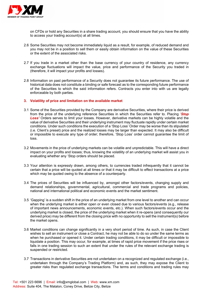

on CFDs or hold any Securities in a share trading account, you should ensure that you have the ability to access your trading account(s) at all times.

- 2.6 Some Securities may not become immediately liquid as a result, for example, of reduced demand and you may not be in a position to sell them or easily obtain information on the value of these Securities or the extent of the associated risks.
- 2.7 If you trade in a market other than the base currency of your country of residence, any currency exchange fluctuations will impact the value, price and performance of the Security you traded in (therefore, it will impact your profits and losses).
- 2.8 Information on past performance of a Security does not guarantee its future performance. The use of historical data does not constitute a binding or safe forecast as to the corresponding future performance of the Securities to which the said information refers. Contracts you enter into with us are legally enforceable by both parties.

# **3. Volatility of price and limitation on the available market**

- 3.1 Some of the Securities provided by the Company are derivative Securities, where their price is derived from the price of the underlying reference Securities in which the Securities refer to. Placing '*Stop*  **Loss'** Orders serves to limit your losses. However, derivative markets can be highly volatile and the value of derivative Securities and their underlying instrument may fluctuate rapidly under certain market conditions. Under such conditions the execution of a 'Stop Loss' Order may be worse than its stipulated (i.e. Client's preset) price and the realized losses may be larger than expected. It may also be difficult or impossible to execute any type of order; therefore, 'Stop Loss' order cannot guarantee the limit of loss.
- 3.2 Movements in the price of underlying markets can be volatile and unpredictable. This will have a direct impact on your profits and losses; thus, knowing the volatility of an underlying market will assist you in evaluating whether any 'Stop orders should be placed.
- 3.3 Your attention is expressly drawn, among others, to currencies traded infrequently that it cannot be certain that a price will be quoted at all times or that it may be difficult to effect transactions at a price which may be quoted owing to the absence of a counterparty.
- 3.4 The prices of Securities will be influenced by, amongst other factors/events, changing supply and demand relationships, governmental, agricultural, commercial and trade programs and policies, national and international political and economic events and the market sentiment.
- 3.5 'Gapping' is a sudden shift in the price of an underlying market from one level to another and can occur when the underlying market is either open or even closed due to various factors/events (e.g., release of important news announcements, economic events, etc.). When such factors/events occur and the underlying market is closed, the price of the underlying market when it re-opens (and consequently our derived price) may be different from the closing price with no opportunity to sell the instrument(s) before the market opens.
- 3.6 Market conditions can change significantly in a very short period of time. As such, in case the Client wishes to sell an instrument or close a Contract, he may not be able to do so under the same terms as when he purchased or opened it. Under certain trading conditions, it may be difficult or impossible to liquidate a position. This may occur, for example, at times of rapid price movement if the price rises or falls in one trading session to such an extent that under the rules of the relevant exchange trading is suspended or restricted.
- 3.7 Transactions in derivative Securities are not undertaken on a recognized and regulated exchange (i.e., undertaken through the Company's Trading Platform) and, as such, they may expose the Client to greater risks than regulated exchange transactions. The terms and conditions and trading rules may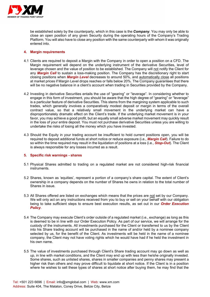

be established solely by the counterparty, which in this case is the *Company*. You may only be able to close an open position of any given Security during the operating hours of the Company's Trading Platform. You will also have to close any position with the same counterparty with whom it was originally entered into.

# **4. Margin requirements**

- 4.1 Clients are required to deposit a Margin with the Company in order to open a position on a CFD. The Margin requirement will depend on the underlying instrument of the derivative Securities, level of leverage chosen and the value of position to be established. The Company will not notify the Client for any *Margin Call* to sustain a loss-making position. The Company has the discretionary right to start closing positions when *Margin Level* decreases to around 50%, and automatically close all positions at market prices if Margin Level drops reaches or falls below 20%. The Company guarantees that there will be no negative balance in a client's account when trading in Securities provided by the Company.
- 4.2 Investing in derivative Securities entails the use of "gearing" or "leverage". In considering whether to engage in this form of investment, you should be aware that the high degree of "gearing" or "leverage" is a particular feature of derivative Securities. This stems from the margining system applicable to such trades, which generally involves a comparatively modest deposit or margin in terms of the overall contract value, so that a relatively small movement in the underlying market can have a disproportionately dramatic effect on the Client's trade. If the underlying market movement is in your favor, you may achieve a good profit, but an equally small adverse market movement may quickly result in the loss of your entire deposit. You must not purchase derivative Securities unless you are willing to undertake the risks of losing all the money which you have invested.
- 4.3 Should the Equity in your trading account be insufficient to hold current positions open, you will be required to deposit additional funds at short notice or reduce exposure (i.e., *Margin Call*). Failure to do so within the time required may result in the liquidation of positions at a loss (i.e., *Stop-Out*). The Client is always responsible for any losses incurred as a result.

#### **5. Specific risk warnings - shares**

- 5.1 Physical Shares admitted to trading on a regulated market are not considered high-risk financial instruments.
- 5.2 Shares, known as 'equities', represent a portion of a company's share capital. The extent of Client's ownership in a company depends on the number of Shares he owns in relation to the total number of Shares in issue.
- 5.3 All Shares offered are listed on exchanges which means that the prices are not set by our Company. We will only act on any instructions received from you to buy or sell on your behalf with our obligation being to take sufficient steps to ensure best execution results, as set out in our *Order Execution Policy*.
- 5.4 The Company may execute Client's order outside of a regulated market (i.e., exchange) as long as this is deemed to be in line with our Order Execution Policy. As part of our service, we will arrange for the custody of the instruments. All investments purchased for the Client or transferred to us by the Client into his Share trading account will be purchased in the name of and/or held by a nominee company selected by us, for the benefit of the Client. As investments will be held in the name of a nominee company, the Client may not have voting rights which he would have had if he held the investment in his own name.
- 5.5 The value of investments purchased through Client's Share trading account may go down as well as up, in line with market conditions, and the Client may end up with less than he/she originally invested. Some shares, such as unlisted shares, shares in smaller companies and penny shares may present a higher risk than others and may prove difficult to liquidate at short notice. If the Client is in a position where he wishes to sell these types of shares at short notice after buying them, he may find that the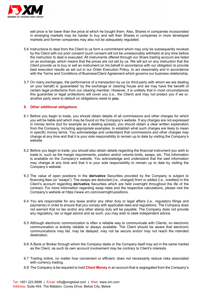

sell price is far lower than the price at which he bought them. Also, Shares in companies incorporated in emerging markets may be harder to buy and sell than Shares in companies in more developed markets and former companies may also not be adequately regulated.

- 5.6 Instructions to deal from the Client to us form a commitment which may only be subsequently revoked by the Client with our prior consent (such consent will not be unreasonably withheld) at any time before the instruction to deal is executed. All instruments offered through our Share trading account are listed on an exchange, which means that the prices are not set by us. We will act on any instruction that the Client provide us to buy or sell an instrument on his behalf in accordance with our obligation to provide best execution results as set out in our Order Execution Policy, to act reasonably and in accordance with the Terms and Conditions of Business/Client Agreement which governs our business relationship.
- 5.7 On many exchanges, the performance of a transaction by us (or third-party with whom we are dealing on your behalf) is 'guaranteed' by the exchange or clearing house and we may have the benefit of certain legal protections from our clearing member. However, it is unlikely that in most circumstances this guarantee or legal protections will cover you (i.e., the Client) and may not protect you if we or, another party were to default on obligations owed to **you.**

# **6. Other additional obligations**

- 6.1 Before you begin to trade, you should obtain details of all commissions and other charges for which you will be liable and which may be found on the Company's website. If any charges are not expressed in money terms (but for example as a dealing spread), you should obtain a clear written explanation from the Company, including appropriate examples, to establish what such charges are likely to mean in specific money terms. You acknowledge and understand that commissions and other charges may change at any time and that it is your sole responsibility to remain up to date by visiting the Company's website.
- 6.2 Before you begin to trade, you should also obtain details regarding the financial instrument you wish to trade in, such as the margin requirements, position and/or volume limits, swaps, etc. This information is available on the Company's website. You acknowledge and understand that the said information may change at any time and that it is your sole responsibility to remain up to date by visiting the Company's website.
- 6.3 The value of open positions in the **derivative** Securities provided by the Company is subject to financing fees (or "swaps"). The swaps are deducted (i.e., charged) from or added (i.e., credited) in the Client's account regarding **derivative** Securities which are held overnight throughout the life of the contract. For more information regarding swap rates and the respective calculations, please visit the Company's website at https://www.xm.com/overnight-positions.
- 6.4 You are responsible for any taxes and/or any other duty or legal affairs (i.e., regulatory filings and payments) in order to ensure that you comply with applicable laws and regulations. The Company does not warrant that no tax and/or any other stamp duty will be payable. The Company does not provide any regulatory, tax or legal advice and as such, you may wish to seek independent advice.
- 6.5 Although electronic communication is often a reliable way to communicate with Clients, no electronic communication is entirely reliable or always available. The Client should be aware that electronic communications may fail, may be delayed, may not be secure and/or may not reach the intended destination.
- 6.6 A Bank or Broker through whom the Company deals or the Company itself may act in the same market as the Client, as such its own account involvement may be contrary to Client's interests.
- 6.7 Trading online, no matter how convenient or efficient, does not necessarily reduce risks associated with currency trading.
- 6.8 The Company is be required to hold **Client Money** in an account that is segregated from the Company's